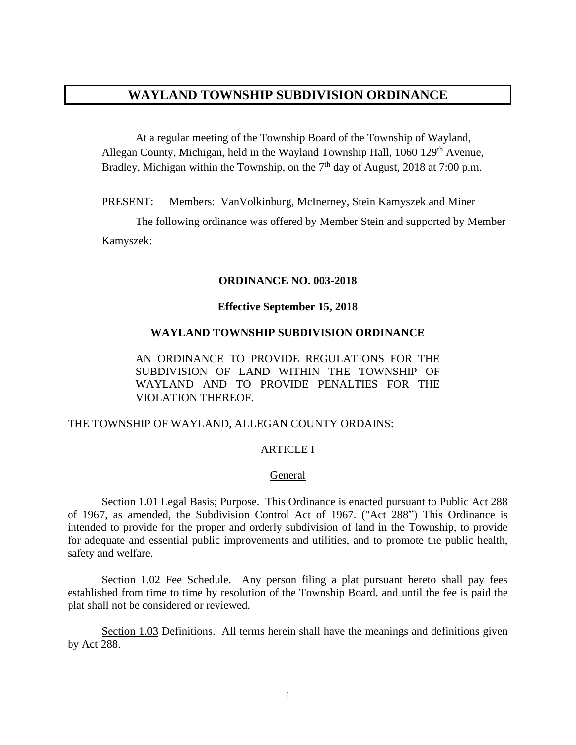# **WAYLAND TOWNSHIP SUBDIVISION ORDINANCE**

At a regular meeting of the Township Board of the Township of Wayland, Allegan County, Michigan, held in the Wayland Township Hall, 1060 129<sup>th</sup> Avenue, Bradley, Michigan within the Township, on the  $7<sup>th</sup>$  day of August, 2018 at 7:00 p.m.

PRESENT: Members: VanVolkinburg, McInerney, Stein Kamyszek and Miner

The following ordinance was offered by Member Stein and supported by Member Kamyszek:

#### **ORDINANCE NO. 003-2018**

#### **Effective September 15, 2018**

#### **WAYLAND TOWNSHIP SUBDIVISION ORDINANCE**

AN ORDINANCE TO PROVIDE REGULATIONS FOR THE SUBDIVISION OF LAND WITHIN THE TOWNSHIP OF WAYLAND AND TO PROVIDE PENALTIES FOR THE VIOLATION THEREOF.

#### THE TOWNSHIP OF WAYLAND, ALLEGAN COUNTY ORDAINS:

### ARTICLE I

### General

Section 1.01 Legal Basis; Purpose. This Ordinance is enacted pursuant to Public Act 288 of 1967, as amended, the Subdivision Control Act of 1967. ("Act 288") This Ordinance is intended to provide for the proper and orderly subdivision of land in the Township, to provide for adequate and essential public improvements and utilities, and to promote the public health, safety and welfare.

Section 1.02 Fee Schedule. Any person filing a plat pursuant hereto shall pay fees established from time to time by resolution of the Township Board, and until the fee is paid the plat shall not be considered or reviewed.

Section 1.03 Definitions. All terms herein shall have the meanings and definitions given by Act 288.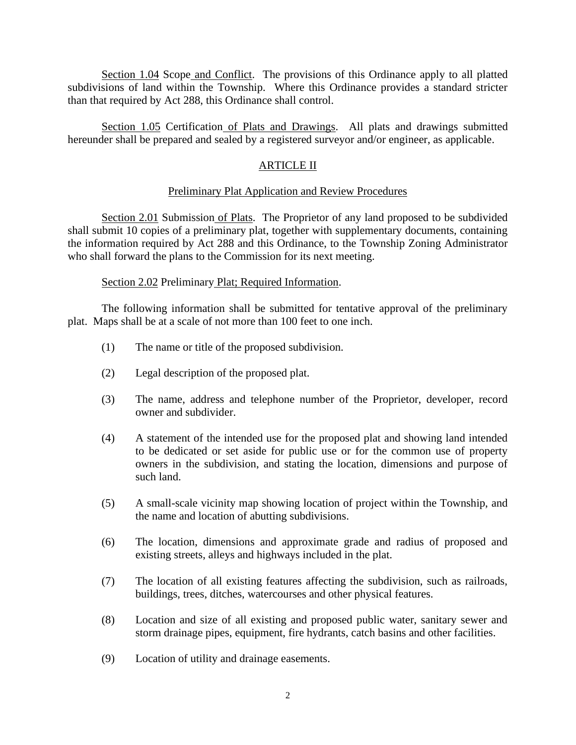Section 1.04 Scope and Conflict. The provisions of this Ordinance apply to all platted subdivisions of land within the Township. Where this Ordinance provides a standard stricter than that required by Act 288, this Ordinance shall control.

Section 1.05 Certification of Plats and Drawings. All plats and drawings submitted hereunder shall be prepared and sealed by a registered surveyor and/or engineer, as applicable.

# ARTICLE II

### Preliminary Plat Application and Review Procedures

Section 2.01 Submission of Plats. The Proprietor of any land proposed to be subdivided shall submit 10 copies of a preliminary plat, together with supplementary documents, containing the information required by Act 288 and this Ordinance, to the Township Zoning Administrator who shall forward the plans to the Commission for its next meeting.

### Section 2.02 Preliminary Plat; Required Information.

The following information shall be submitted for tentative approval of the preliminary plat. Maps shall be at a scale of not more than 100 feet to one inch.

- (1) The name or title of the proposed subdivision.
- (2) Legal description of the proposed plat.
- (3) The name, address and telephone number of the Proprietor, developer, record owner and subdivider.
- (4) A statement of the intended use for the proposed plat and showing land intended to be dedicated or set aside for public use or for the common use of property owners in the subdivision, and stating the location, dimensions and purpose of such land.
- (5) A small-scale vicinity map showing location of project within the Township, and the name and location of abutting subdivisions.
- (6) The location, dimensions and approximate grade and radius of proposed and existing streets, alleys and highways included in the plat.
- (7) The location of all existing features affecting the subdivision, such as railroads, buildings, trees, ditches, watercourses and other physical features.
- (8) Location and size of all existing and proposed public water, sanitary sewer and storm drainage pipes, equipment, fire hydrants, catch basins and other facilities.
- (9) Location of utility and drainage easements.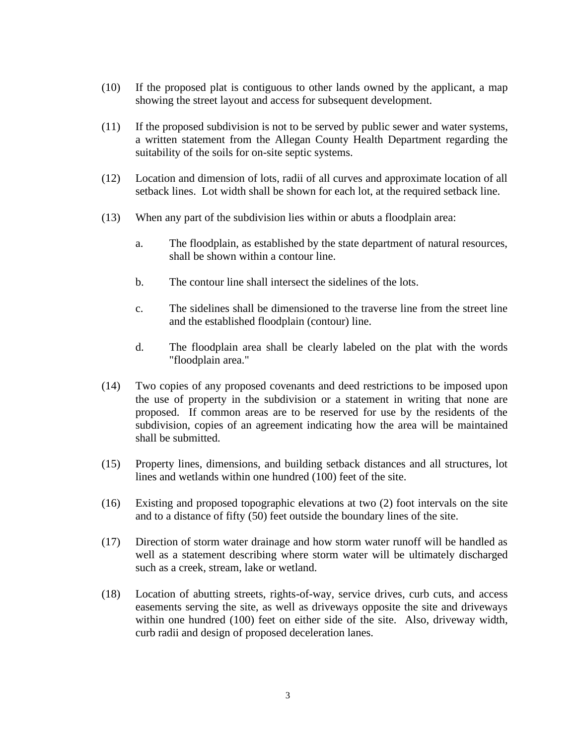- (10) If the proposed plat is contiguous to other lands owned by the applicant, a map showing the street layout and access for subsequent development.
- (11) If the proposed subdivision is not to be served by public sewer and water systems, a written statement from the Allegan County Health Department regarding the suitability of the soils for on-site septic systems.
- (12) Location and dimension of lots, radii of all curves and approximate location of all setback lines. Lot width shall be shown for each lot, at the required setback line.
- (13) When any part of the subdivision lies within or abuts a floodplain area:
	- a. The floodplain, as established by the state department of natural resources, shall be shown within a contour line.
	- b. The contour line shall intersect the sidelines of the lots.
	- c. The sidelines shall be dimensioned to the traverse line from the street line and the established floodplain (contour) line.
	- d. The floodplain area shall be clearly labeled on the plat with the words "floodplain area."
- (14) Two copies of any proposed covenants and deed restrictions to be imposed upon the use of property in the subdivision or a statement in writing that none are proposed. If common areas are to be reserved for use by the residents of the subdivision, copies of an agreement indicating how the area will be maintained shall be submitted.
- (15) Property lines, dimensions, and building setback distances and all structures, lot lines and wetlands within one hundred (100) feet of the site.
- (16) Existing and proposed topographic elevations at two (2) foot intervals on the site and to a distance of fifty (50) feet outside the boundary lines of the site.
- (17) Direction of storm water drainage and how storm water runoff will be handled as well as a statement describing where storm water will be ultimately discharged such as a creek, stream, lake or wetland.
- (18) Location of abutting streets, rights-of-way, service drives, curb cuts, and access easements serving the site, as well as driveways opposite the site and driveways within one hundred (100) feet on either side of the site. Also, driveway width, curb radii and design of proposed deceleration lanes.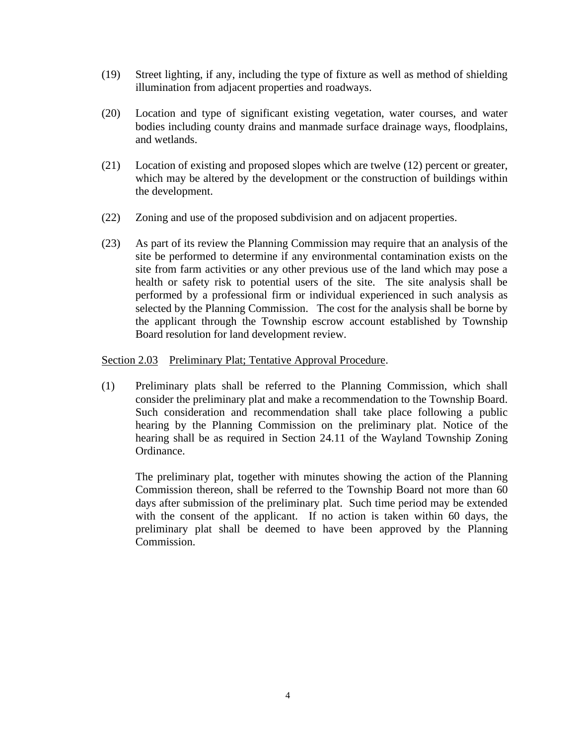- (19) Street lighting, if any, including the type of fixture as well as method of shielding illumination from adjacent properties and roadways.
- (20) Location and type of significant existing vegetation, water courses, and water bodies including county drains and manmade surface drainage ways, floodplains, and wetlands.
- (21) Location of existing and proposed slopes which are twelve (12) percent or greater, which may be altered by the development or the construction of buildings within the development.
- (22) Zoning and use of the proposed subdivision and on adjacent properties.
- (23) As part of its review the Planning Commission may require that an analysis of the site be performed to determine if any environmental contamination exists on the site from farm activities or any other previous use of the land which may pose a health or safety risk to potential users of the site. The site analysis shall be performed by a professional firm or individual experienced in such analysis as selected by the Planning Commission. The cost for the analysis shall be borne by the applicant through the Township escrow account established by Township Board resolution for land development review.

### Section 2.03 Preliminary Plat; Tentative Approval Procedure.

(1) Preliminary plats shall be referred to the Planning Commission, which shall consider the preliminary plat and make a recommendation to the Township Board. Such consideration and recommendation shall take place following a public hearing by the Planning Commission on the preliminary plat. Notice of the hearing shall be as required in Section 24.11 of the Wayland Township Zoning Ordinance.

The preliminary plat, together with minutes showing the action of the Planning Commission thereon, shall be referred to the Township Board not more than 60 days after submission of the preliminary plat. Such time period may be extended with the consent of the applicant. If no action is taken within 60 days, the preliminary plat shall be deemed to have been approved by the Planning Commission.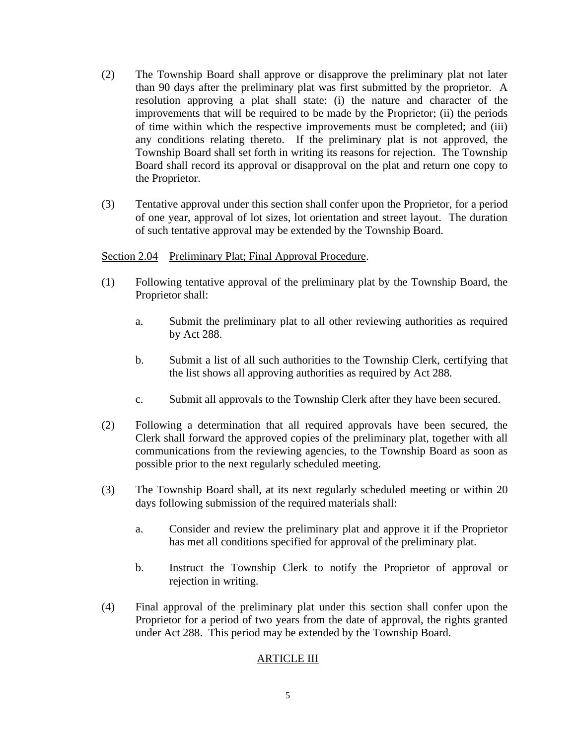- (2) The Township Board shall approve or disapprove the preliminary plat not later than 90 days after the preliminary plat was first submitted by the proprietor. A resolution approving a plat shall state: (i) the nature and character of the improvements that will be required to be made by the Proprietor; (ii) the periods of time within which the respective improvements must be completed; and (iii) any conditions relating thereto. If the preliminary plat is not approved, the Township Board shall set forth in writing its reasons for rejection. The Township Board shall record its approval or disapproval on the plat and return one copy to the Proprietor.
- (3) Tentative approval under this section shall confer upon the Proprietor, for a period of one year, approval of lot sizes, lot orientation and street layout. The duration of such tentative approval may be extended by the Township Board.

### Section 2.04 Preliminary Plat; Final Approval Procedure.

- (1) Following tentative approval of the preliminary plat by the Township Board, the Proprietor shall:
	- a. Submit the preliminary plat to all other reviewing authorities as required by Act 288.
	- b. Submit a list of all such authorities to the Township Clerk, certifying that the list shows all approving authorities as required by Act 288.
	- c. Submit all approvals to the Township Clerk after they have been secured.
- (2) Following a determination that all required approvals have been secured, the Clerk shall forward the approved copies of the preliminary plat, together with all communications from the reviewing agencies, to the Township Board as soon as possible prior to the next regularly scheduled meeting.
- (3) The Township Board shall, at its next regularly scheduled meeting or within 20 days following submission of the required materials shall:
	- a. Consider and review the preliminary plat and approve it if the Proprietor has met all conditions specified for approval of the preliminary plat.
	- b. Instruct the Township Clerk to notify the Proprietor of approval or rejection in writing.
- (4) Final approval of the preliminary plat under this section shall confer upon the Proprietor for a period of two years from the date of approval, the rights granted under Act 288. This period may be extended by the Township Board.

### ARTICLE III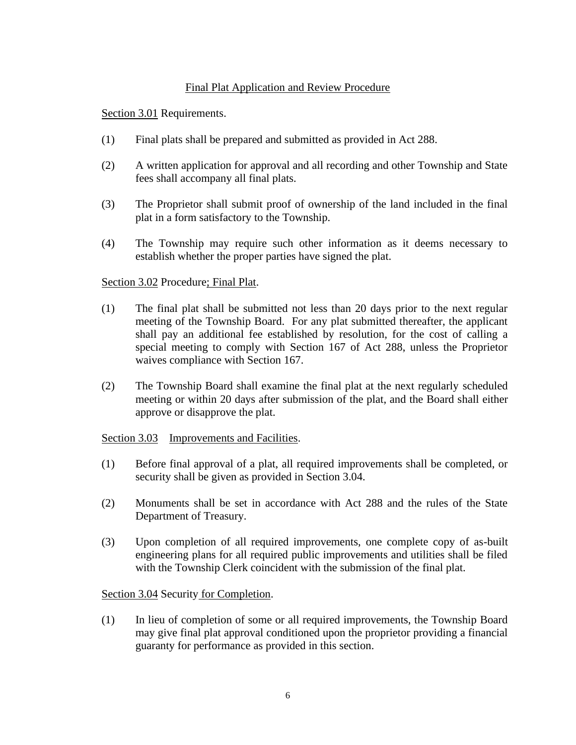# Final Plat Application and Review Procedure

Section 3.01 Requirements.

- (1) Final plats shall be prepared and submitted as provided in Act 288.
- (2) A written application for approval and all recording and other Township and State fees shall accompany all final plats.
- (3) The Proprietor shall submit proof of ownership of the land included in the final plat in a form satisfactory to the Township.
- (4) The Township may require such other information as it deems necessary to establish whether the proper parties have signed the plat.

# Section 3.02 Procedure; Final Plat.

- (1) The final plat shall be submitted not less than 20 days prior to the next regular meeting of the Township Board. For any plat submitted thereafter, the applicant shall pay an additional fee established by resolution, for the cost of calling a special meeting to comply with Section 167 of Act 288, unless the Proprietor waives compliance with Section 167.
- (2) The Township Board shall examine the final plat at the next regularly scheduled meeting or within 20 days after submission of the plat, and the Board shall either approve or disapprove the plat.

### Section 3.03 Improvements and Facilities.

- (1) Before final approval of a plat, all required improvements shall be completed, or security shall be given as provided in Section 3.04.
- (2) Monuments shall be set in accordance with Act 288 and the rules of the State Department of Treasury.
- (3) Upon completion of all required improvements, one complete copy of as-built engineering plans for all required public improvements and utilities shall be filed with the Township Clerk coincident with the submission of the final plat.

Section 3.04 Security for Completion.

(1) In lieu of completion of some or all required improvements, the Township Board may give final plat approval conditioned upon the proprietor providing a financial guaranty for performance as provided in this section.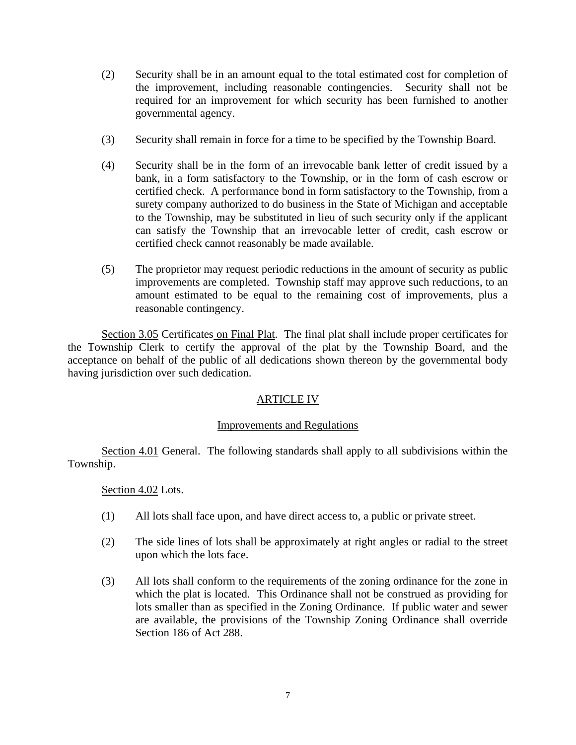- (2) Security shall be in an amount equal to the total estimated cost for completion of the improvement, including reasonable contingencies. Security shall not be required for an improvement for which security has been furnished to another governmental agency.
- (3) Security shall remain in force for a time to be specified by the Township Board.
- (4) Security shall be in the form of an irrevocable bank letter of credit issued by a bank, in a form satisfactory to the Township, or in the form of cash escrow or certified check. A performance bond in form satisfactory to the Township, from a surety company authorized to do business in the State of Michigan and acceptable to the Township, may be substituted in lieu of such security only if the applicant can satisfy the Township that an irrevocable letter of credit, cash escrow or certified check cannot reasonably be made available.
- (5) The proprietor may request periodic reductions in the amount of security as public improvements are completed. Township staff may approve such reductions, to an amount estimated to be equal to the remaining cost of improvements, plus a reasonable contingency.

Section 3.05 Certificates on Final Plat. The final plat shall include proper certificates for the Township Clerk to certify the approval of the plat by the Township Board, and the acceptance on behalf of the public of all dedications shown thereon by the governmental body having jurisdiction over such dedication.

# ARTICLE IV

### Improvements and Regulations

Section 4.01 General. The following standards shall apply to all subdivisions within the Township.

### Section 4.02 Lots.

- (1) All lots shall face upon, and have direct access to, a public or private street.
- (2) The side lines of lots shall be approximately at right angles or radial to the street upon which the lots face.
- (3) All lots shall conform to the requirements of the zoning ordinance for the zone in which the plat is located. This Ordinance shall not be construed as providing for lots smaller than as specified in the Zoning Ordinance. If public water and sewer are available, the provisions of the Township Zoning Ordinance shall override Section 186 of Act 288.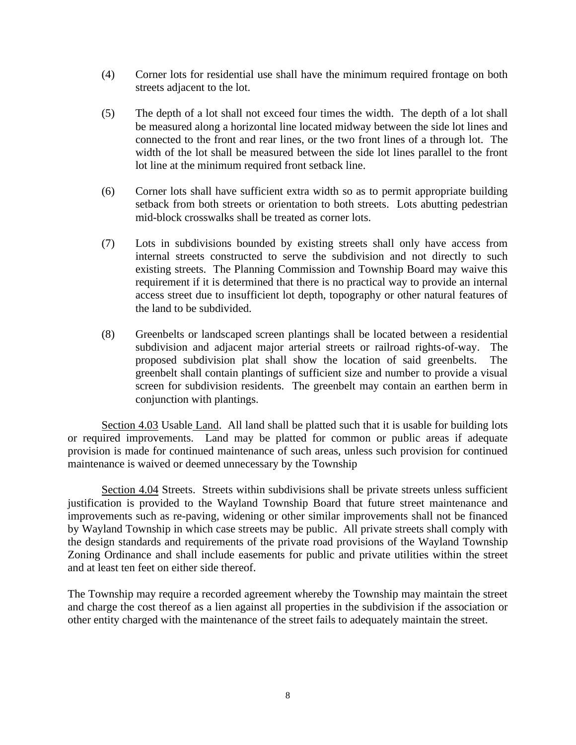- (4) Corner lots for residential use shall have the minimum required frontage on both streets adjacent to the lot.
- (5) The depth of a lot shall not exceed four times the width. The depth of a lot shall be measured along a horizontal line located midway between the side lot lines and connected to the front and rear lines, or the two front lines of a through lot. The width of the lot shall be measured between the side lot lines parallel to the front lot line at the minimum required front setback line.
- (6) Corner lots shall have sufficient extra width so as to permit appropriate building setback from both streets or orientation to both streets. Lots abutting pedestrian mid-block crosswalks shall be treated as corner lots.
- (7) Lots in subdivisions bounded by existing streets shall only have access from internal streets constructed to serve the subdivision and not directly to such existing streets. The Planning Commission and Township Board may waive this requirement if it is determined that there is no practical way to provide an internal access street due to insufficient lot depth, topography or other natural features of the land to be subdivided.
- (8) Greenbelts or landscaped screen plantings shall be located between a residential subdivision and adjacent major arterial streets or railroad rights-of-way. The proposed subdivision plat shall show the location of said greenbelts. The greenbelt shall contain plantings of sufficient size and number to provide a visual screen for subdivision residents. The greenbelt may contain an earthen berm in conjunction with plantings.

Section 4.03 Usable Land. All land shall be platted such that it is usable for building lots or required improvements. Land may be platted for common or public areas if adequate provision is made for continued maintenance of such areas, unless such provision for continued maintenance is waived or deemed unnecessary by the Township

Section 4.04 Streets. Streets within subdivisions shall be private streets unless sufficient justification is provided to the Wayland Township Board that future street maintenance and improvements such as re-paving, widening or other similar improvements shall not be financed by Wayland Township in which case streets may be public. All private streets shall comply with the design standards and requirements of the private road provisions of the Wayland Township Zoning Ordinance and shall include easements for public and private utilities within the street and at least ten feet on either side thereof.

The Township may require a recorded agreement whereby the Township may maintain the street and charge the cost thereof as a lien against all properties in the subdivision if the association or other entity charged with the maintenance of the street fails to adequately maintain the street.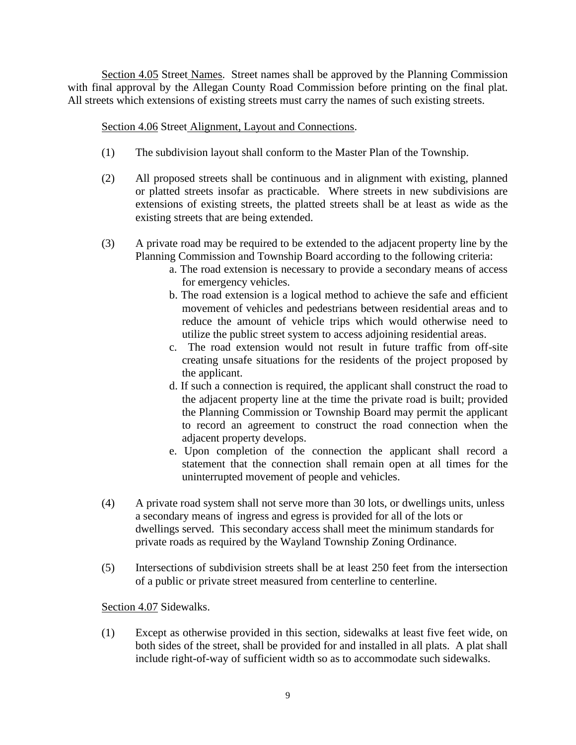Section 4.05 Street Names. Street names shall be approved by the Planning Commission with final approval by the Allegan County Road Commission before printing on the final plat. All streets which extensions of existing streets must carry the names of such existing streets.

# Section 4.06 Street Alignment, Layout and Connections.

- (1) The subdivision layout shall conform to the Master Plan of the Township.
- (2) All proposed streets shall be continuous and in alignment with existing, planned or platted streets insofar as practicable. Where streets in new subdivisions are extensions of existing streets, the platted streets shall be at least as wide as the existing streets that are being extended.
- (3) A private road may be required to be extended to the adjacent property line by the Planning Commission and Township Board according to the following criteria:
	- a. The road extension is necessary to provide a secondary means of access for emergency vehicles.
	- b. The road extension is a logical method to achieve the safe and efficient movement of vehicles and pedestrians between residential areas and to reduce the amount of vehicle trips which would otherwise need to utilize the public street system to access adjoining residential areas.
	- c. The road extension would not result in future traffic from off-site creating unsafe situations for the residents of the project proposed by the applicant.
	- d. If such a connection is required, the applicant shall construct the road to the adjacent property line at the time the private road is built; provided the Planning Commission or Township Board may permit the applicant to record an agreement to construct the road connection when the adjacent property develops.
	- e. Upon completion of the connection the applicant shall record a statement that the connection shall remain open at all times for the uninterrupted movement of people and vehicles.
- (4) A private road system shall not serve more than 30 lots, or dwellings units, unless a secondary means of ingress and egress is provided for all of the lots or dwellings served. This secondary access shall meet the minimum standards for private roads as required by the Wayland Township Zoning Ordinance.
- (5) Intersections of subdivision streets shall be at least 250 feet from the intersection of a public or private street measured from centerline to centerline.

# Section 4.07 Sidewalks.

(1) Except as otherwise provided in this section, sidewalks at least five feet wide, on both sides of the street, shall be provided for and installed in all plats. A plat shall include right-of-way of sufficient width so as to accommodate such sidewalks.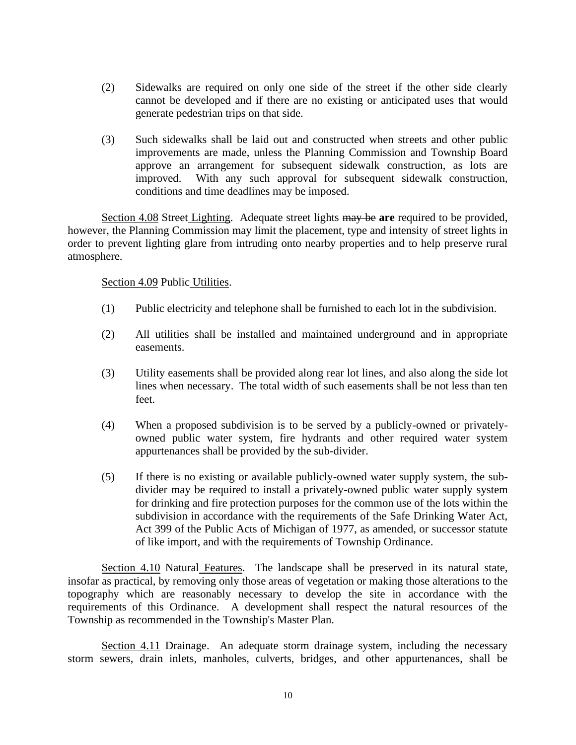- (2) Sidewalks are required on only one side of the street if the other side clearly cannot be developed and if there are no existing or anticipated uses that would generate pedestrian trips on that side.
- (3) Such sidewalks shall be laid out and constructed when streets and other public improvements are made, unless the Planning Commission and Township Board approve an arrangement for subsequent sidewalk construction, as lots are improved. With any such approval for subsequent sidewalk construction, conditions and time deadlines may be imposed.

Section 4.08 Street Lighting. Adequate street lights may be **are** required to be provided, however, the Planning Commission may limit the placement, type and intensity of street lights in order to prevent lighting glare from intruding onto nearby properties and to help preserve rural atmosphere.

Section 4.09 Public Utilities.

- (1) Public electricity and telephone shall be furnished to each lot in the subdivision.
- (2) All utilities shall be installed and maintained underground and in appropriate easements.
- (3) Utility easements shall be provided along rear lot lines, and also along the side lot lines when necessary. The total width of such easements shall be not less than ten feet.
- (4) When a proposed subdivision is to be served by a publicly-owned or privatelyowned public water system, fire hydrants and other required water system appurtenances shall be provided by the sub-divider.
- (5) If there is no existing or available publicly-owned water supply system, the subdivider may be required to install a privately-owned public water supply system for drinking and fire protection purposes for the common use of the lots within the subdivision in accordance with the requirements of the Safe Drinking Water Act, Act 399 of the Public Acts of Michigan of 1977, as amended, or successor statute of like import, and with the requirements of Township Ordinance.

Section 4.10 Natural Features. The landscape shall be preserved in its natural state, insofar as practical, by removing only those areas of vegetation or making those alterations to the topography which are reasonably necessary to develop the site in accordance with the requirements of this Ordinance. A development shall respect the natural resources of the Township as recommended in the Township's Master Plan.

Section 4.11 Drainage. An adequate storm drainage system, including the necessary storm sewers, drain inlets, manholes, culverts, bridges, and other appurtenances, shall be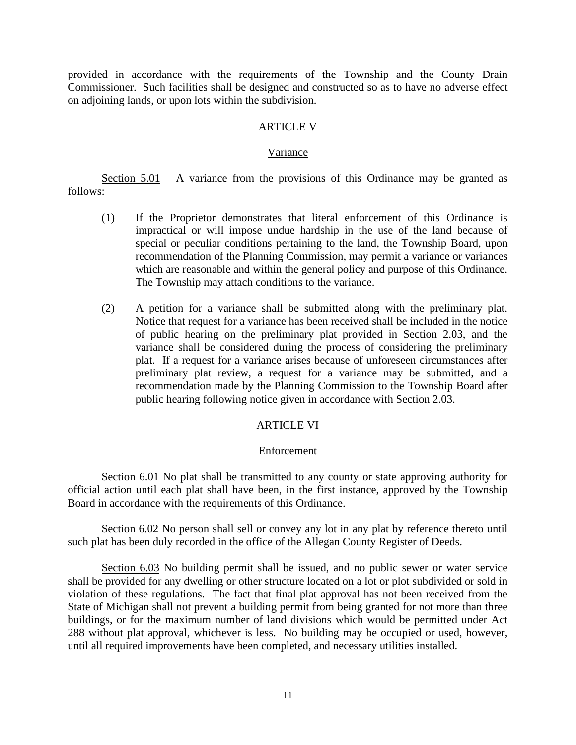provided in accordance with the requirements of the Township and the County Drain Commissioner. Such facilities shall be designed and constructed so as to have no adverse effect on adjoining lands, or upon lots within the subdivision.

#### ARTICLE V

#### Variance

Section 5.01 A variance from the provisions of this Ordinance may be granted as follows:

- (1) If the Proprietor demonstrates that literal enforcement of this Ordinance is impractical or will impose undue hardship in the use of the land because of special or peculiar conditions pertaining to the land, the Township Board, upon recommendation of the Planning Commission, may permit a variance or variances which are reasonable and within the general policy and purpose of this Ordinance. The Township may attach conditions to the variance.
- (2) A petition for a variance shall be submitted along with the preliminary plat. Notice that request for a variance has been received shall be included in the notice of public hearing on the preliminary plat provided in Section 2.03, and the variance shall be considered during the process of considering the preliminary plat. If a request for a variance arises because of unforeseen circumstances after preliminary plat review, a request for a variance may be submitted, and a recommendation made by the Planning Commission to the Township Board after public hearing following notice given in accordance with Section 2.03.

#### ARTICLE VI

#### Enforcement

Section 6.01 No plat shall be transmitted to any county or state approving authority for official action until each plat shall have been, in the first instance, approved by the Township Board in accordance with the requirements of this Ordinance.

Section 6.02 No person shall sell or convey any lot in any plat by reference thereto until such plat has been duly recorded in the office of the Allegan County Register of Deeds.

Section 6.03 No building permit shall be issued, and no public sewer or water service shall be provided for any dwelling or other structure located on a lot or plot subdivided or sold in violation of these regulations. The fact that final plat approval has not been received from the State of Michigan shall not prevent a building permit from being granted for not more than three buildings, or for the maximum number of land divisions which would be permitted under Act 288 without plat approval, whichever is less. No building may be occupied or used, however, until all required improvements have been completed, and necessary utilities installed.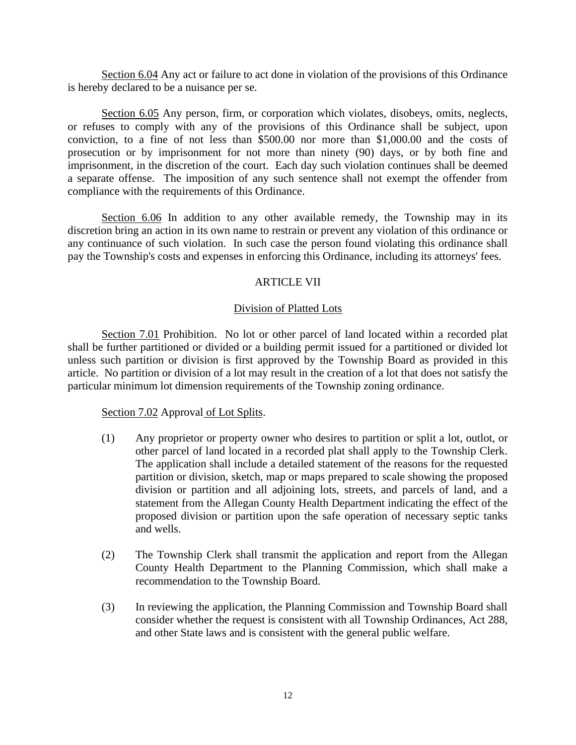Section 6.04 Any act or failure to act done in violation of the provisions of this Ordinance is hereby declared to be a nuisance per se.

Section 6.05 Any person, firm, or corporation which violates, disobeys, omits, neglects, or refuses to comply with any of the provisions of this Ordinance shall be subject, upon conviction, to a fine of not less than \$500.00 nor more than \$1,000.00 and the costs of prosecution or by imprisonment for not more than ninety (90) days, or by both fine and imprisonment, in the discretion of the court. Each day such violation continues shall be deemed a separate offense. The imposition of any such sentence shall not exempt the offender from compliance with the requirements of this Ordinance.

Section 6.06 In addition to any other available remedy, the Township may in its discretion bring an action in its own name to restrain or prevent any violation of this ordinance or any continuance of such violation. In such case the person found violating this ordinance shall pay the Township's costs and expenses in enforcing this Ordinance, including its attorneys' fees.

### ARTICLE VII

#### Division of Platted Lots

Section 7.01 Prohibition. No lot or other parcel of land located within a recorded plat shall be further partitioned or divided or a building permit issued for a partitioned or divided lot unless such partition or division is first approved by the Township Board as provided in this article. No partition or division of a lot may result in the creation of a lot that does not satisfy the particular minimum lot dimension requirements of the Township zoning ordinance.

#### Section 7.02 Approval of Lot Splits.

- (1) Any proprietor or property owner who desires to partition or split a lot, outlot, or other parcel of land located in a recorded plat shall apply to the Township Clerk. The application shall include a detailed statement of the reasons for the requested partition or division, sketch, map or maps prepared to scale showing the proposed division or partition and all adjoining lots, streets, and parcels of land, and a statement from the Allegan County Health Department indicating the effect of the proposed division or partition upon the safe operation of necessary septic tanks and wells.
- (2) The Township Clerk shall transmit the application and report from the Allegan County Health Department to the Planning Commission, which shall make a recommendation to the Township Board.
- (3) In reviewing the application, the Planning Commission and Township Board shall consider whether the request is consistent with all Township Ordinances, Act 288, and other State laws and is consistent with the general public welfare.